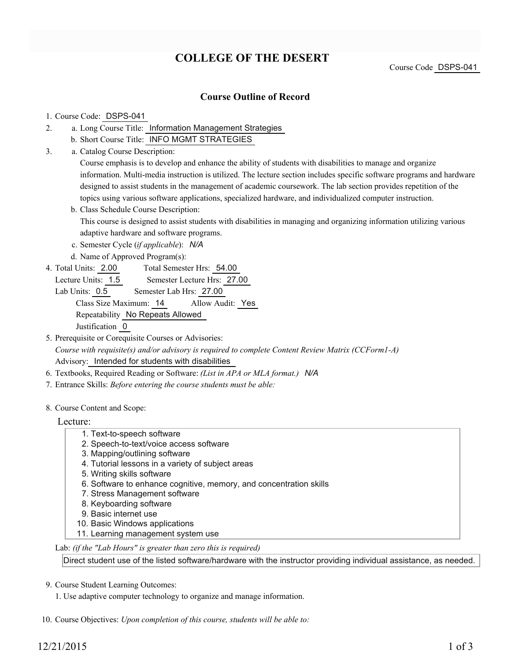# **COLLEGE OF THE DESERT**

Course Code DSPS-041

### **Course Outline of Record**

#### 1. Course Code: DSPS-041

- a. Long Course Title: Information Management Strategies 2.
	- b. Short Course Title: INFO MGMT STRATEGIES
- Catalog Course Description: a. 3.

Course emphasis is to develop and enhance the ability of students with disabilities to manage and organize information. Multi-media instruction is utilized. The lecture section includes specific software programs and hardware designed to assist students in the management of academic coursework. The lab section provides repetition of the topics using various software applications, specialized hardware, and individualized computer instruction.

b. Class Schedule Course Description:

This course is designed to assist students with disabilities in managing and organizing information utilizing various adaptive hardware and software programs.

- c. Semester Cycle (*if applicable*): *N/A*
- d. Name of Approved Program(s):
- Total Semester Hrs: 54.00 4. Total Units: 2.00
	- Lecture Units: 1.5 Semester Lecture Hrs: 27.00

Lab Units: 0.5 Semester Lab Hrs: 27.00 Class Size Maximum: 14 Allow Audit: Yes Repeatability No Repeats Allowed Justification 0

- 5. Prerequisite or Corequisite Courses or Advisories: *Course with requisite(s) and/or advisory is required to complete Content Review Matrix (CCForm1-A)* Advisory: Intended for students with disabilities
- 6. Textbooks, Required Reading or Software: *(List in APA or MLA format.) N/A*
- 7. Entrance Skills: *Before entering the course students must be able:*
- 8. Course Content and Scope:

#### Lecture:

- 1. Text-to-speech software
- 2. Speech-to-text/voice access software
- 3. Mapping/outlining software
- 4. Tutorial lessons in a variety of subject areas
- 5. Writing skills software
- 6. Software to enhance cognitive, memory, and concentration skills
- 7. Stress Management software
- 8. Keyboarding software
- 9. Basic internet use
- 10. Basic Windows applications
- 11. Learning management system use

Lab: *(if the "Lab Hours" is greater than zero this is required)*

Direct student use of the listed software/hardware with the instructor providing individual assistance, as needed.

#### 9. Course Student Learning Outcomes:

1. Use adaptive computer technology to organize and manage information.

10. Course Objectives: *Upon completion of this course, students will be able to:*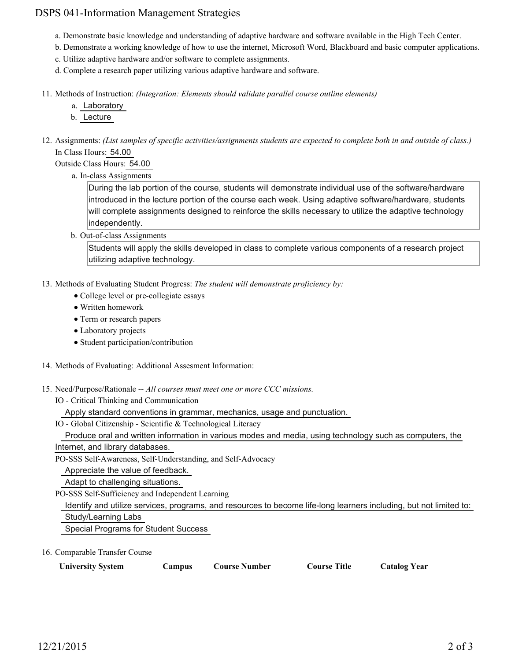## DSPS 041-Information Management Strategies

- a. Demonstrate basic knowledge and understanding of adaptive hardware and software available in the High Tech Center.
- b. Demonstrate a working knowledge of how to use the internet, Microsoft Word, Blackboard and basic computer applications.
- c. Utilize adaptive hardware and/or software to complete assignments.
- d. Complete a research paper utilizing various adaptive hardware and software.
- Methods of Instruction: *(Integration: Elements should validate parallel course outline elements)* 11.
	- a. Laboratory
	- b. Lecture
- 12. Assignments: (List samples of specific activities/assignments students are expected to complete both in and outside of class.) In Class Hours: 54.00

Outside Class Hours: 54.00

a. In-class Assignments

During the lab portion of the course, students will demonstrate individual use of the software/hardware introduced in the lecture portion of the course each week. Using adaptive software/hardware, students will complete assignments designed to reinforce the skills necessary to utilize the adaptive technology independently.

b. Out-of-class Assignments

Students will apply the skills developed in class to complete various components of a research project utilizing adaptive technology.

- 13. Methods of Evaluating Student Progress: The student will demonstrate proficiency by:
	- College level or pre-collegiate essays
	- Written homework
	- Term or research papers
	- Laboratory projects
	- Student participation/contribution
- 14. Methods of Evaluating: Additional Assesment Information:
- 15. Need/Purpose/Rationale -- All courses must meet one or more CCC missions.
	- IO Critical Thinking and Communication

Apply standard conventions in grammar, mechanics, usage and punctuation.

IO - Global Citizenship - Scientific & Technological Literacy

Produce oral and written information in various modes and media, using technology such as computers, the

Internet, and library databases.

PO-SSS Self-Awareness, Self-Understanding, and Self-Advocacy

Appreciate the value of feedback.

Adapt to challenging situations.

PO-SSS Self-Sufficiency and Independent Learning

 Identify and utilize services, programs, and resources to become life-long learners including, but not limited to: Study/Learning Labs

Special Programs for Student Success

16. Comparable Transfer Course

| <b>University System</b><br><b>Course Title</b><br><b>Course Number</b><br>Campus | <b>Catalog Year</b> |
|-----------------------------------------------------------------------------------|---------------------|
|-----------------------------------------------------------------------------------|---------------------|